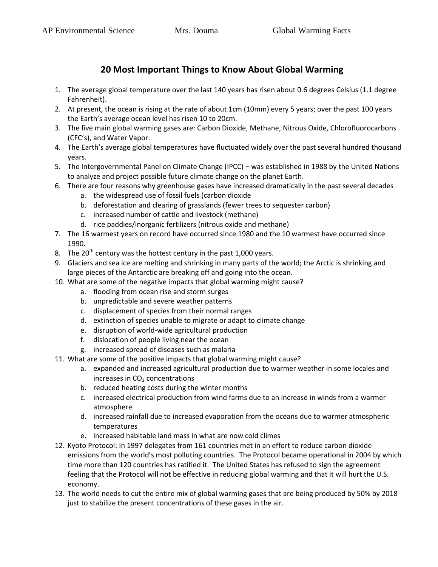## **20 Most Important Things to Know About Global Warming**

- 1. The average global temperature over the last 140 years has risen about 0.6 degrees Celsius (1.1 degree Fahrenheit).
- 2. At present, the ocean is rising at the rate of about 1cm (10mm) every 5 years; over the past 100 years the Earth's average ocean level has risen 10 to 20cm.
- 3. The five main global warming gases are: Carbon Dioxide, Methane, Nitrous Oxide, Chlorofluorocarbons (CFC's), and Water Vapor.
- 4. The Earth's average global temperatures have fluctuated widely over the past several hundred thousand years.
- 5. The Intergovernmental Panel on Climate Change (IPCC) was established in 1988 by the United Nations to analyze and project possible future climate change on the planet Earth.
- 6. There are four reasons why greenhouse gases have increased dramatically in the past several decades
	- a. the widespread use of fossil fuels (carbon dioxide
	- b. deforestation and clearing of grasslands (fewer trees to sequester carbon)
	- c. increased number of cattle and livestock (methane)
	- d. rice paddies/inorganic fertilizers (nitrous oxide and methane)
- 7. The 16 warmest years on record have occurred since 1980 and the 10 warmest have occurred since 1990.
- 8. The 20<sup>th</sup> century was the hottest century in the past 1,000 years.
- 9. Glaciers and sea ice are melting and shrinking in many parts of the world; the Arctic is shrinking and large pieces of the Antarctic are breaking off and going into the ocean.
- 10. What are some of the negative impacts that global warming might cause?
	- a. flooding from ocean rise and storm surges
	- b. unpredictable and severe weather patterns
	- c. displacement of species from their normal ranges
	- d. extinction of species unable to migrate or adapt to climate change
	- e. disruption of world-wide agricultural production
	- f. dislocation of people living near the ocean
	- g. increased spread of diseases such as malaria
- 11. What are some of the positive impacts that global warming might cause?
	- a. expanded and increased agricultural production due to warmer weather in some locales and increases in  $CO<sub>2</sub>$  concentrations
	- b. reduced heating costs during the winter months
	- c. increased electrical production from wind farms due to an increase in winds from a warmer atmosphere
	- d. increased rainfall due to increased evaporation from the oceans due to warmer atmospheric temperatures
	- e. increased habitable land mass in what are now cold climes
- 12. Kyoto Protocol: In 1997 delegates from 161 countries met in an effort to reduce carbon dioxide emissions from the world's most polluting countries. The Protocol became operational in 2004 by which time more than 120 countries has ratified it. The United States has refused to sign the agreement feeling that the Protocol will not be effective in reducing global warming and that it will hurt the U.S. economy.
- 13. The world needs to cut the entire mix of global warming gases that are being produced by 50% by 2018 just to stabilize the present concentrations of these gases in the air.